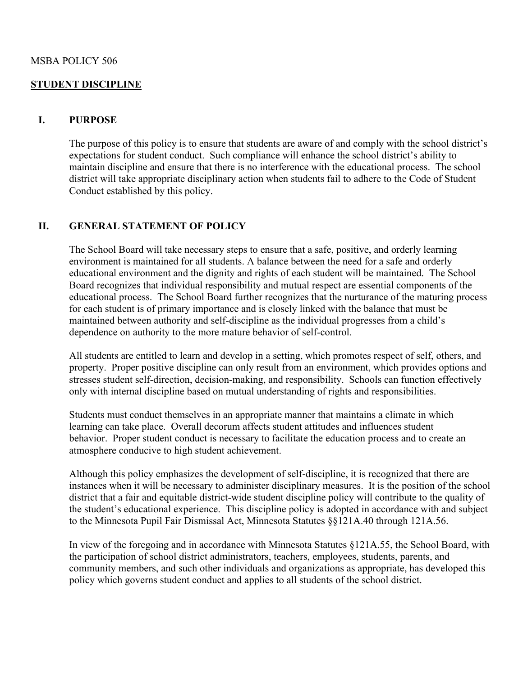#### MSBA POLICY 506

#### **STUDENT DISCIPLINE**

#### **I. PURPOSE**

The purpose of this policy is to ensure that students are aware of and comply with the school district's expectations for student conduct. Such compliance will enhance the school district's ability to maintain discipline and ensure that there is no interference with the educational process. The school district will take appropriate disciplinary action when students fail to adhere to the Code of Student Conduct established by this policy.

#### **II. GENERAL STATEMENT OF POLICY**

The School Board will take necessary steps to ensure that a safe, positive, and orderly learning environment is maintained for all students. A balance between the need for a safe and orderly educational environment and the dignity and rights of each student will be maintained. The School Board recognizes that individual responsibility and mutual respect are essential components of the educational process. The School Board further recognizes that the nurturance of the maturing process for each student is of primary importance and is closely linked with the balance that must be maintained between authority and self-discipline as the individual progresses from a child's dependence on authority to the more mature behavior of self-control.

 All students are entitled to learn and develop in a setting, which promotes respect of self, others, and property. Proper positive discipline can only result from an environment, which provides options and stresses student self-direction, decision-making, and responsibility. Schools can function effectively only with internal discipline based on mutual understanding of rights and responsibilities.

 Students must conduct themselves in an appropriate manner that maintains a climate in which learning can take place. Overall decorum affects student attitudes and influences student behavior. Proper student conduct is necessary to facilitate the education process and to create an atmosphere conducive to high student achievement.

Although this policy emphasizes the development of self-discipline, it is recognized that there are instances when it will be necessary to administer disciplinary measures. It is the position of the school district that a fair and equitable district-wide student discipline policy will contribute to the quality of the student's educational experience. This discipline policy is adopted in accordance with and subject to the Minnesota Pupil Fair Dismissal Act, Minnesota Statutes §§121A.40 through 121A.56.

In view of the foregoing and in accordance with Minnesota Statutes §121A.55, the School Board, with the participation of school district administrators, teachers, employees, students, parents, and community members, and such other individuals and organizations as appropriate, has developed this policy which governs student conduct and applies to all students of the school district.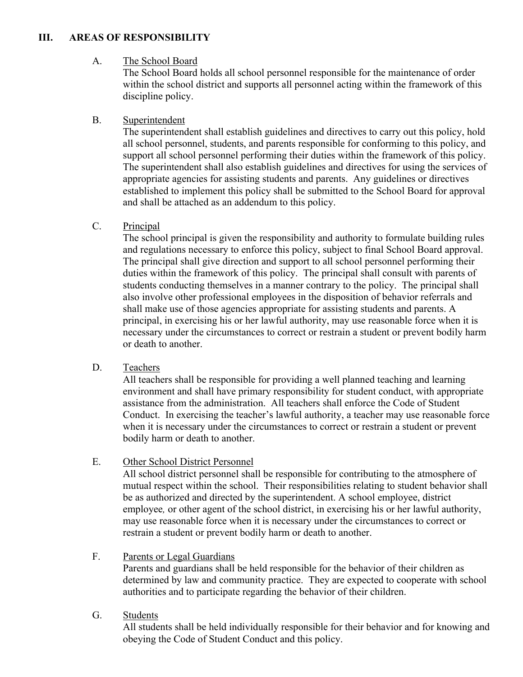# **III. AREAS OF RESPONSIBILITY**

## A. The School Board

The School Board holds all school personnel responsible for the maintenance of order within the school district and supports all personnel acting within the framework of this discipline policy.

## B. Superintendent

The superintendent shall establish guidelines and directives to carry out this policy, hold all school personnel, students, and parents responsible for conforming to this policy, and support all school personnel performing their duties within the framework of this policy. The superintendent shall also establish guidelines and directives for using the services of appropriate agencies for assisting students and parents. Any guidelines or directives established to implement this policy shall be submitted to the School Board for approval and shall be attached as an addendum to this policy.

## C. Principal

The school principal is given the responsibility and authority to formulate building rules and regulations necessary to enforce this policy, subject to final School Board approval. The principal shall give direction and support to all school personnel performing their duties within the framework of this policy. The principal shall consult with parents of students conducting themselves in a manner contrary to the policy. The principal shall also involve other professional employees in the disposition of behavior referrals and shall make use of those agencies appropriate for assisting students and parents. A principal, in exercising his or her lawful authority, may use reasonable force when it is necessary under the circumstances to correct or restrain a student or prevent bodily harm or death to another.

## D. Teachers

All teachers shall be responsible for providing a well planned teaching and learning environment and shall have primary responsibility for student conduct, with appropriate assistance from the administration. All teachers shall enforce the Code of Student Conduct. In exercising the teacher's lawful authority, a teacher may use reasonable force when it is necessary under the circumstances to correct or restrain a student or prevent bodily harm or death to another.

## E. Other School District Personnel

All school district personnel shall be responsible for contributing to the atmosphere of mutual respect within the school. Their responsibilities relating to student behavior shall be as authorized and directed by the superintendent. A school employee, district employee*,* or other agent of the school district, in exercising his or her lawful authority, may use reasonable force when it is necessary under the circumstances to correct or restrain a student or prevent bodily harm or death to another.

## F. Parents or Legal Guardians

Parents and guardians shall be held responsible for the behavior of their children as determined by law and community practice. They are expected to cooperate with school authorities and to participate regarding the behavior of their children.

## G. Students

All students shall be held individually responsible for their behavior and for knowing and obeying the Code of Student Conduct and this policy.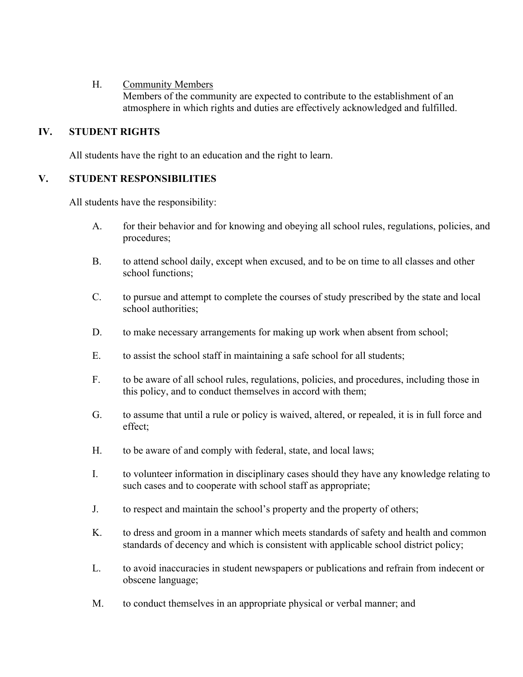#### H. Community Members

Members of the community are expected to contribute to the establishment of an atmosphere in which rights and duties are effectively acknowledged and fulfilled.

## **IV. STUDENT RIGHTS**

All students have the right to an education and the right to learn.

## **V. STUDENT RESPONSIBILITIES**

All students have the responsibility:

- A. for their behavior and for knowing and obeying all school rules, regulations, policies, and procedures;
- B. to attend school daily, except when excused, and to be on time to all classes and other school functions;
- C. to pursue and attempt to complete the courses of study prescribed by the state and local school authorities;
- D. to make necessary arrangements for making up work when absent from school;
- E. to assist the school staff in maintaining a safe school for all students;
- F. to be aware of all school rules, regulations, policies, and procedures, including those in this policy, and to conduct themselves in accord with them;
- G. to assume that until a rule or policy is waived, altered, or repealed, it is in full force and effect;
- H. to be aware of and comply with federal, state, and local laws;
- I. to volunteer information in disciplinary cases should they have any knowledge relating to such cases and to cooperate with school staff as appropriate;
- J. to respect and maintain the school's property and the property of others;
- K. to dress and groom in a manner which meets standards of safety and health and common standards of decency and which is consistent with applicable school district policy;
- L. to avoid inaccuracies in student newspapers or publications and refrain from indecent or obscene language;
- M. to conduct themselves in an appropriate physical or verbal manner; and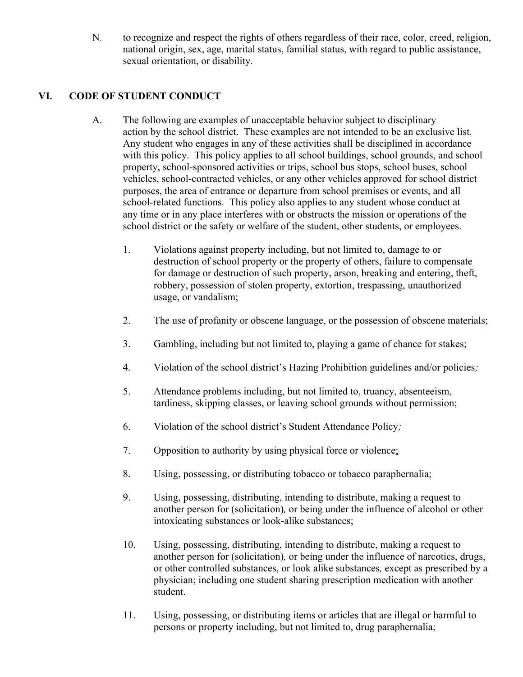N. to recognize and respect the rights of others regardless of their race, color, creed, religion, national origin, sex, age, marital status, familial status, with regard to public assistance, sexual orientation, or disability.

# **VI. CODE OF STUDENT CONDUCT**

- A. The following are examples of unacceptable behavior subject to disciplinary action by the school district. These examples are not intended to be an exclusive list*.*  Any student who engages in any of these activities shall be disciplined in accordance with this policy. This policy applies to all school buildings, school grounds, and school property, school-sponsored activities or trips, school bus stops, school buses, school vehicles, school-contracted vehicles, or any other vehicles approved for school district purposes, the area of entrance or departure from school premises or events, and all school-related functions. This policy also applies to any student whose conduct at any time or in any place interferes with or obstructs the mission or operations of the school district or the safety or welfare of the student, other students, or employees.
	- 1. Violations against property including, but not limited to, damage to or destruction of school property or the property of others, failure to compensate for damage or destruction of such property, arson, breaking and entering, theft, robbery, possession of stolen property, extortion, trespassing, unauthorized usage, or vandalism;
	- 2. The use of profanity or obscene language, or the possession of obscene materials;
	- 3. Gambling, including but not limited to, playing a game of chance for stakes;
	- 4. Violation of the school district's Hazing Prohibition guidelines and/or policies*;*
	- 5. Attendance problems including, but not limited to, truancy, absenteeism, tardiness, skipping classes, or leaving school grounds without permission;
	- 6. Violation of the school district's Student Attendance Policy*;*
	- 7. Opposition to authority by using physical force or violence;
	- 8. Using, possessing, or distributing tobacco or tobacco paraphernalia;
	- 9. Using, possessing, distributing, intending to distribute, making a request to another person for (solicitation)*,* or being under the influence of alcohol or other intoxicating substances or look-alike substances;
	- 10. Using, possessing, distributing, intending to distribute, making a request to another person for (solicitation)*,* or being under the influence of narcotics, drugs, or other controlled substances, or look alike substances*,* except as prescribed by a physician; including one student sharing prescription medication with another student.
	- 11. Using, possessing, or distributing items or articles that are illegal or harmful to persons or property including, but not limited to, drug paraphernalia;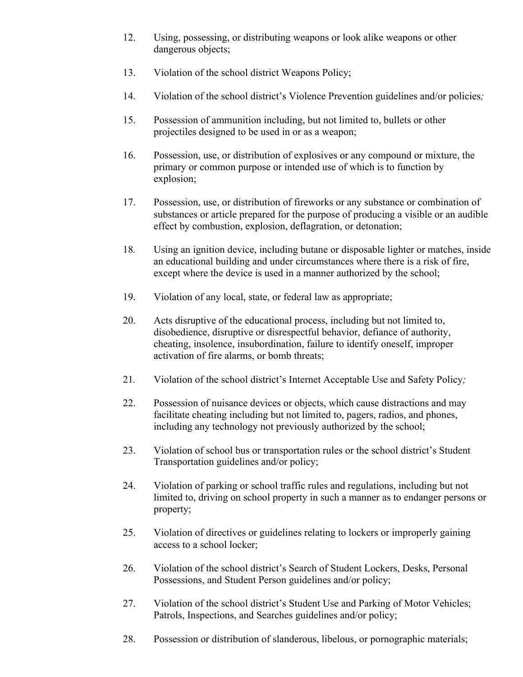- 12. Using, possessing, or distributing weapons or look alike weapons or other dangerous objects;
- 13. Violation of the school district Weapons Policy;
- 14. Violation of the school district's Violence Prevention guidelines and/or policies*;*
- 15. Possession of ammunition including, but not limited to, bullets or other projectiles designed to be used in or as a weapon;
- 16. Possession, use, or distribution of explosives or any compound or mixture, the primary or common purpose or intended use of which is to function by explosion;
- 17. Possession, use, or distribution of fireworks or any substance or combination of substances or article prepared for the purpose of producing a visible or an audible effect by combustion, explosion, deflagration, or detonation;
- 18*.* Using an ignition device, including butane or disposable lighter or matches, inside an educational building and under circumstances where there is a risk of fire, except where the device is used in a manner authorized by the school;
- 19. Violation of any local, state, or federal law as appropriate;
- 20. Acts disruptive of the educational process, including but not limited to, disobedience, disruptive or disrespectful behavior, defiance of authority, cheating, insolence, insubordination, failure to identify oneself, improper activation of fire alarms, or bomb threats;
- 21*.* Violation of the school district's Internet Acceptable Use and Safety Policy*;*
- 22. Possession of nuisance devices or objects, which cause distractions and may facilitate cheating including but not limited to, pagers, radios, and phones, including any technology not previously authorized by the school;
- 23. Violation of school bus or transportation rules or the school district's Student Transportation guidelines and/or policy;
- 24. Violation of parking or school traffic rules and regulations, including but not limited to, driving on school property in such a manner as to endanger persons or property;
- 25. Violation of directives or guidelines relating to lockers or improperly gaining access to a school locker;
- 26. Violation of the school district's Search of Student Lockers, Desks, Personal Possessions, and Student Person guidelines and/or policy;
- 27. Violation of the school district's Student Use and Parking of Motor Vehicles; Patrols, Inspections, and Searches guidelines and/or policy;
- 28. Possession or distribution of slanderous, libelous, or pornographic materials;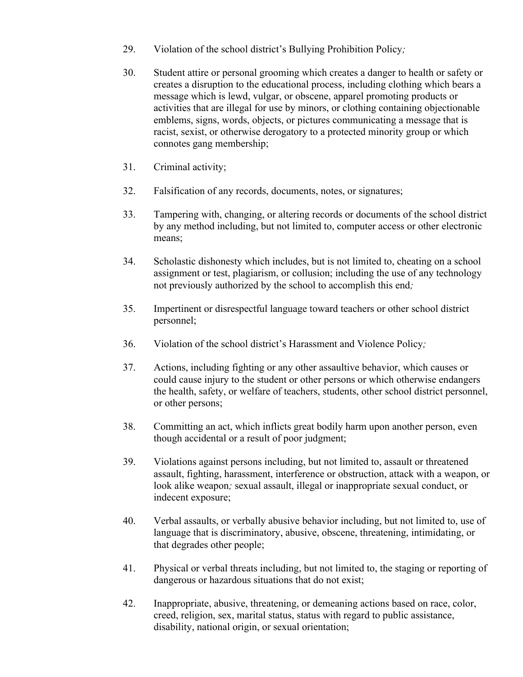- 29. Violation of the school district's Bullying Prohibition Policy*;*
- 30. Student attire or personal grooming which creates a danger to health or safety or creates a disruption to the educational process, including clothing which bears a message which is lewd, vulgar, or obscene, apparel promoting products or activities that are illegal for use by minors, or clothing containing objectionable emblems, signs, words, objects, or pictures communicating a message that is racist, sexist, or otherwise derogatory to a protected minority group or which connotes gang membership;
- 31. Criminal activity;
- 32. Falsification of any records, documents, notes, or signatures;
- 33. Tampering with, changing, or altering records or documents of the school district by any method including, but not limited to, computer access or other electronic means;
- 34. Scholastic dishonesty which includes, but is not limited to, cheating on a school assignment or test, plagiarism, or collusion; including the use of any technology not previously authorized by the school to accomplish this end*;*
- 35. Impertinent or disrespectful language toward teachers or other school district personnel;
- 36. Violation of the school district's Harassment and Violence Policy*;*
- 37. Actions, including fighting or any other assaultive behavior, which causes or could cause injury to the student or other persons or which otherwise endangers the health, safety, or welfare of teachers, students, other school district personnel, or other persons;
- 38. Committing an act, which inflicts great bodily harm upon another person, even though accidental or a result of poor judgment;
- 39. Violations against persons including, but not limited to, assault or threatened assault, fighting, harassment, interference or obstruction, attack with a weapon, or look alike weapon*;* sexual assault, illegal or inappropriate sexual conduct, or indecent exposure;
- 40. Verbal assaults, or verbally abusive behavior including, but not limited to, use of language that is discriminatory, abusive, obscene, threatening, intimidating, or that degrades other people;
- 41. Physical or verbal threats including, but not limited to, the staging or reporting of dangerous or hazardous situations that do not exist;
- 42. Inappropriate, abusive, threatening, or demeaning actions based on race, color, creed, religion, sex, marital status, status with regard to public assistance, disability, national origin, or sexual orientation;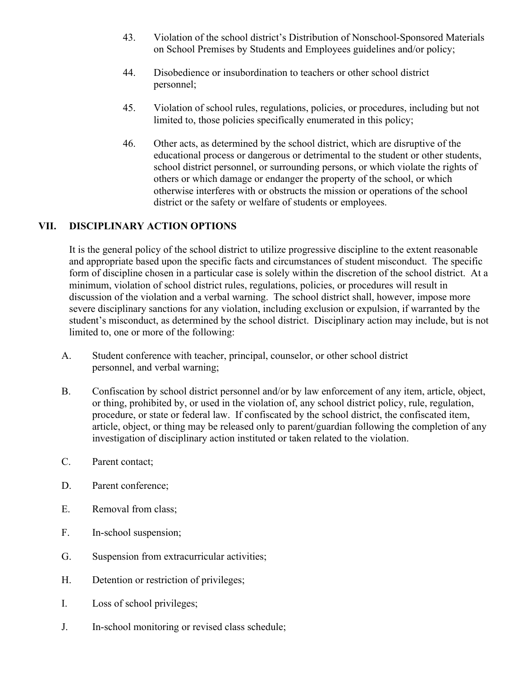- 43. Violation of the school district's Distribution of Nonschool-Sponsored Materials on School Premises by Students and Employees guidelines and/or policy;
- 44. Disobedience or insubordination to teachers or other school district personnel;
- 45. Violation of school rules, regulations, policies, or procedures, including but not limited to, those policies specifically enumerated in this policy;
- 46. Other acts, as determined by the school district, which are disruptive of the educational process or dangerous or detrimental to the student or other students, school district personnel, or surrounding persons, or which violate the rights of others or which damage or endanger the property of the school, or which otherwise interferes with or obstructs the mission or operations of the school district or the safety or welfare of students or employees.

## **VII. DISCIPLINARY ACTION OPTIONS**

It is the general policy of the school district to utilize progressive discipline to the extent reasonable and appropriate based upon the specific facts and circumstances of student misconduct. The specific form of discipline chosen in a particular case is solely within the discretion of the school district. At a minimum, violation of school district rules, regulations, policies, or procedures will result in discussion of the violation and a verbal warning. The school district shall, however, impose more severe disciplinary sanctions for any violation, including exclusion or expulsion, if warranted by the student's misconduct, as determined by the school district. Disciplinary action may include, but is not limited to, one or more of the following:

- A. Student conference with teacher, principal, counselor, or other school district personnel, and verbal warning;
- B. Confiscation by school district personnel and/or by law enforcement of any item, article, object, or thing, prohibited by, or used in the violation of, any school district policy, rule, regulation, procedure, or state or federal law. If confiscated by the school district, the confiscated item, article, object, or thing may be released only to parent/guardian following the completion of any investigation of disciplinary action instituted or taken related to the violation.
- C. Parent contact;
- D. Parent conference;
- E. Removal from class;
- F. In-school suspension;
- G. Suspension from extracurricular activities;
- H. Detention or restriction of privileges;
- I. Loss of school privileges;
- J. In-school monitoring or revised class schedule;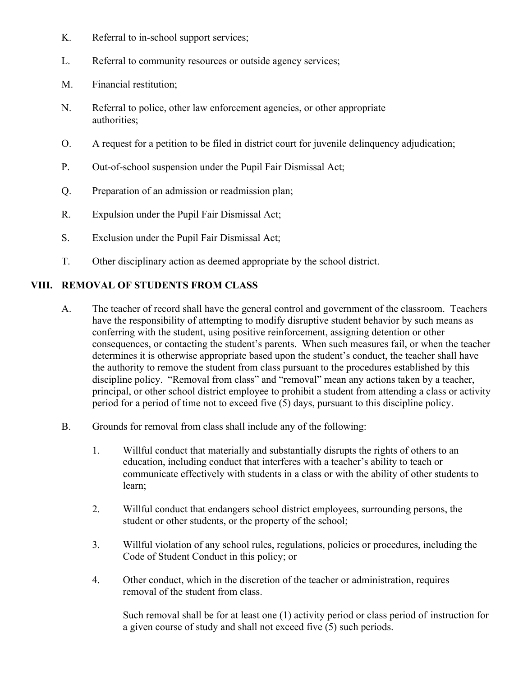- K. Referral to in-school support services;
- L. Referral to community resources or outside agency services;
- M. Financial restitution;
- N. Referral to police, other law enforcement agencies, or other appropriate authorities;
- O. A request for a petition to be filed in district court for juvenile delinquency adjudication;
- P. Out-of-school suspension under the Pupil Fair Dismissal Act;
- Q. Preparation of an admission or readmission plan;
- R. Expulsion under the Pupil Fair Dismissal Act;
- S. Exclusion under the Pupil Fair Dismissal Act;
- T. Other disciplinary action as deemed appropriate by the school district.

#### **VIII. REMOVAL OF STUDENTS FROM CLASS**

- A. The teacher of record shall have the general control and government of the classroom. Teachers have the responsibility of attempting to modify disruptive student behavior by such means as conferring with the student, using positive reinforcement, assigning detention or other consequences, or contacting the student's parents. When such measures fail, or when the teacher determines it is otherwise appropriate based upon the student's conduct, the teacher shall have the authority to remove the student from class pursuant to the procedures established by this discipline policy. "Removal from class" and "removal" mean any actions taken by a teacher, principal, or other school district employee to prohibit a student from attending a class or activity period for a period of time not to exceed five (5) days, pursuant to this discipline policy.
- B. Grounds for removal from class shall include any of the following:
	- 1. Willful conduct that materially and substantially disrupts the rights of others to an education, including conduct that interferes with a teacher's ability to teach or communicate effectively with students in a class or with the ability of other students to learn;
	- 2. Willful conduct that endangers school district employees, surrounding persons, the student or other students, or the property of the school;
	- 3. Willful violation of any school rules, regulations, policies or procedures, including the Code of Student Conduct in this policy; or
	- 4. Other conduct, which in the discretion of the teacher or administration, requires removal of the student from class.

Such removal shall be for at least one (1) activity period or class period of instruction for a given course of study and shall not exceed five (5) such periods.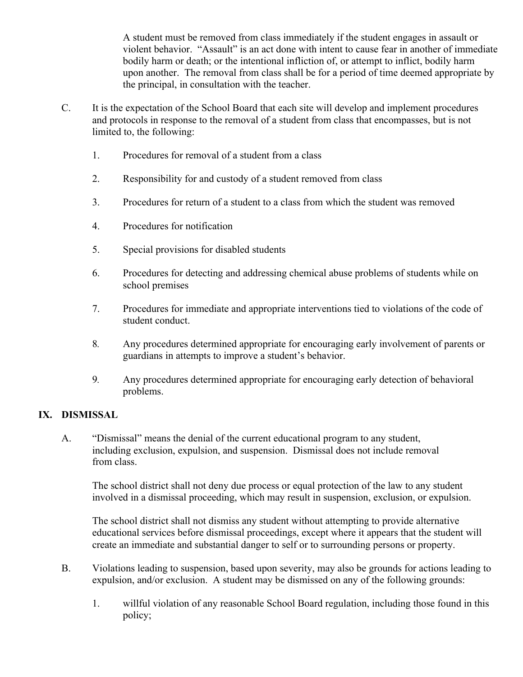A student must be removed from class immediately if the student engages in assault or violent behavior. "Assault" is an act done with intent to cause fear in another of immediate bodily harm or death; or the intentional infliction of, or attempt to inflict, bodily harm upon another. The removal from class shall be for a period of time deemed appropriate by the principal, in consultation with the teacher.

- C. It is the expectation of the School Board that each site will develop and implement procedures and protocols in response to the removal of a student from class that encompasses, but is not limited to, the following:
	- 1. Procedures for removal of a student from a class
	- 2. Responsibility for and custody of a student removed from class
	- 3. Procedures for return of a student to a class from which the student was removed
	- 4. Procedures for notification
	- 5. Special provisions for disabled students
	- 6. Procedures for detecting and addressing chemical abuse problems of students while on school premises
	- 7. Procedures for immediate and appropriate interventions tied to violations of the code of student conduct.
	- 8*.* Any procedures determined appropriate for encouraging early involvement of parents or guardians in attempts to improve a student's behavior.
	- 9*.* Any procedures determined appropriate for encouraging early detection of behavioral problems.

## **IX. DISMISSAL**

A. "Dismissal" means the denial of the current educational program to any student, including exclusion, expulsion, and suspension. Dismissal does not include removal from class.

The school district shall not deny due process or equal protection of the law to any student involved in a dismissal proceeding, which may result in suspension, exclusion, or expulsion.

The school district shall not dismiss any student without attempting to provide alternative educational services before dismissal proceedings, except where it appears that the student will create an immediate and substantial danger to self or to surrounding persons or property.

- B. Violations leading to suspension, based upon severity, may also be grounds for actions leading to expulsion, and/or exclusion. A student may be dismissed on any of the following grounds:
	- 1. willful violation of any reasonable School Board regulation, including those found in this policy;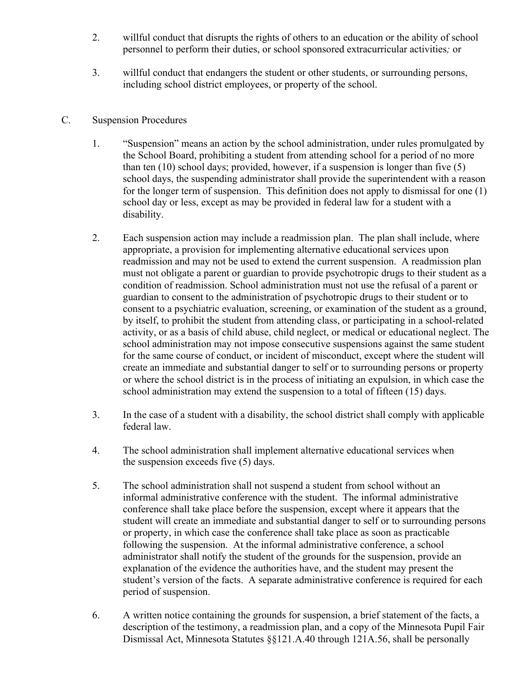- 2. willful conduct that disrupts the rights of others to an education or the ability of school personnel to perform their duties, or school sponsored extracurricular activities*;* or
- 3. willful conduct that endangers the student or other students, or surrounding persons, including school district employees, or property of the school.

#### C. Suspension Procedures

- 1. "Suspension" means an action by the school administration, under rules promulgated by the School Board, prohibiting a student from attending school for a period of no more than ten (10) school days; provided, however, if a suspension is longer than five (5) school days, the suspending administrator shall provide the superintendent with a reason for the longer term of suspension. This definition does not apply to dismissal for one (1) school day or less, except as may be provided in federal law for a student with a disability.
- 2. Each suspension action may include a readmission plan. The plan shall include, where appropriate, a provision for implementing alternative educational services upon readmission and may not be used to extend the current suspension. A readmission plan must not obligate a parent or guardian to provide psychotropic drugs to their student as a condition of readmission. School administration must not use the refusal of a parent or guardian to consent to the administration of psychotropic drugs to their student or to consent to a psychiatric evaluation, screening, or examination of the student as a ground, by itself, to prohibit the student from attending class, or participating in a school-related activity, or as a basis of child abuse, child neglect, or medical or educational neglect. The school administration may not impose consecutive suspensions against the same student for the same course of conduct, or incident of misconduct, except where the student will create an immediate and substantial danger to self or to surrounding persons or property or where the school district is in the process of initiating an expulsion, in which case the school administration may extend the suspension to a total of fifteen (15) days.
- 3. In the case of a student with a disability, the school district shall comply with applicable federal law.
- 4. The school administration shall implement alternative educational services when the suspension exceeds five (5) days.
- 5. The school administration shall not suspend a student from school without an informal administrative conference with the student. The informal administrative conference shall take place before the suspension, except where it appears that the student will create an immediate and substantial danger to self or to surrounding persons or property, in which case the conference shall take place as soon as practicable following the suspension. At the informal administrative conference, a school administrator shall notify the student of the grounds for the suspension, provide an explanation of the evidence the authorities have, and the student may present the student's version of the facts. A separate administrative conference is required for each period of suspension.
- 6. A written notice containing the grounds for suspension, a brief statement of the facts, a description of the testimony, a readmission plan, and a copy of the Minnesota Pupil Fair Dismissal Act, Minnesota Statutes §§121.A.40 through 121A.56, shall be personally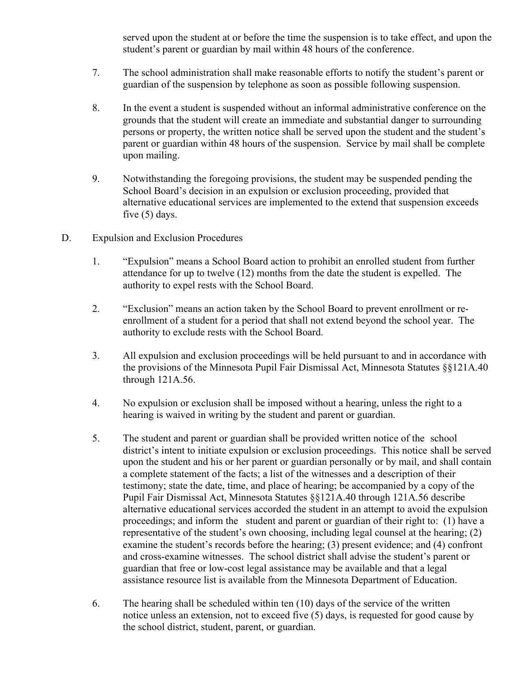served upon the student at or before the time the suspension is to take effect, and upon the student's parent or guardian by mail within 48 hours of the conference.

- 7. The school administration shall make reasonable efforts to notify the student's parent or guardian of the suspension by telephone as soon as possible following suspension.
- 8. In the event a student is suspended without an informal administrative conference on the grounds that the student will create an immediate and substantial danger to surrounding persons or property, the written notice shall be served upon the student and the student's parent or guardian within 48 hours of the suspension. Service by mail shall be complete upon mailing.
- 9. Notwithstanding the foregoing provisions, the student may be suspended pending the School Board's decision in an expulsion or exclusion proceeding, provided that alternative educational services are implemented to the extend that suspension exceeds five (5) days.
- D. Expulsion and Exclusion Procedures
	- 1. "Expulsion" means a School Board action to prohibit an enrolled student from further attendance for up to twelve (12) months from the date the student is expelled. The authority to expel rests with the School Board.
	- 2. "Exclusion" means an action taken by the School Board to prevent enrollment or reenrollment of a student for a period that shall not extend beyond the school year. The authority to exclude rests with the School Board.
	- 3. All expulsion and exclusion proceedings will be held pursuant to and in accordance with the provisions of the Minnesota Pupil Fair Dismissal Act, Minnesota Statutes §§121A.40 through 121A.56.
	- 4. No expulsion or exclusion shall be imposed without a hearing, unless the right to a hearing is waived in writing by the student and parent or guardian.
	- 5. The student and parent or guardian shall be provided written notice of the school district's intent to initiate expulsion or exclusion proceedings. This notice shall be served upon the student and his or her parent or guardian personally or by mail, and shall contain a complete statement of the facts; a list of the witnesses and a description of their testimony; state the date, time, and place of hearing; be accompanied by a copy of the Pupil Fair Dismissal Act, Minnesota Statutes §§121A.40 through 121A.56 describe alternative educational services accorded the student in an attempt to avoid the expulsion proceedings; and inform the student and parent or guardian of their right to: (1) have a representative of the student's own choosing, including legal counsel at the hearing; (2) examine the student's records before the hearing; (3) present evidence; and (4) confront and cross-examine witnesses. The school district shall advise the student's parent or guardian that free or low-cost legal assistance may be available and that a legal assistance resource list is available from the Minnesota Department of Education.
	- 6. The hearing shall be scheduled within ten (10) days of the service of the written notice unless an extension, not to exceed five (5) days, is requested for good cause by the school district, student, parent, or guardian.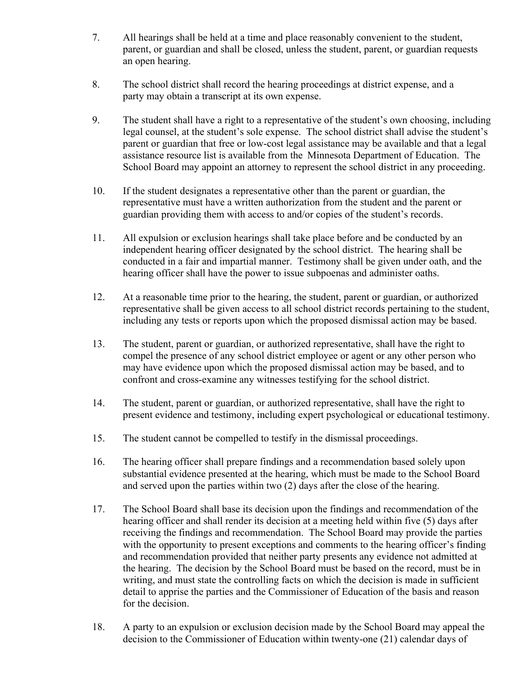- 7. All hearings shall be held at a time and place reasonably convenient to the student, parent, or guardian and shall be closed, unless the student, parent, or guardian requests an open hearing.
- 8. The school district shall record the hearing proceedings at district expense, and a party may obtain a transcript at its own expense.
- 9. The student shall have a right to a representative of the student's own choosing, including legal counsel, at the student's sole expense. The school district shall advise the student's parent or guardian that free or low-cost legal assistance may be available and that a legal assistance resource list is available from the Minnesota Department of Education. The School Board may appoint an attorney to represent the school district in any proceeding.
- 10. If the student designates a representative other than the parent or guardian, the representative must have a written authorization from the student and the parent or guardian providing them with access to and/or copies of the student's records.
- 11. All expulsion or exclusion hearings shall take place before and be conducted by an independent hearing officer designated by the school district. The hearing shall be conducted in a fair and impartial manner. Testimony shall be given under oath, and the hearing officer shall have the power to issue subpoenas and administer oaths.
- 12. At a reasonable time prior to the hearing, the student, parent or guardian, or authorized representative shall be given access to all school district records pertaining to the student, including any tests or reports upon which the proposed dismissal action may be based.
- 13. The student, parent or guardian, or authorized representative, shall have the right to compel the presence of any school district employee or agent or any other person who may have evidence upon which the proposed dismissal action may be based, and to confront and cross-examine any witnesses testifying for the school district.
- 14. The student, parent or guardian, or authorized representative, shall have the right to present evidence and testimony, including expert psychological or educational testimony.
- 15. The student cannot be compelled to testify in the dismissal proceedings.
- 16. The hearing officer shall prepare findings and a recommendation based solely upon substantial evidence presented at the hearing, which must be made to the School Board and served upon the parties within two (2) days after the close of the hearing.
- 17. The School Board shall base its decision upon the findings and recommendation of the hearing officer and shall render its decision at a meeting held within five (5) days after receiving the findings and recommendation. The School Board may provide the parties with the opportunity to present exceptions and comments to the hearing officer's finding and recommendation provided that neither party presents any evidence not admitted at the hearing. The decision by the School Board must be based on the record, must be in writing, and must state the controlling facts on which the decision is made in sufficient detail to apprise the parties and the Commissioner of Education of the basis and reason for the decision.
- 18. A party to an expulsion or exclusion decision made by the School Board may appeal the decision to the Commissioner of Education within twenty-one (21) calendar days of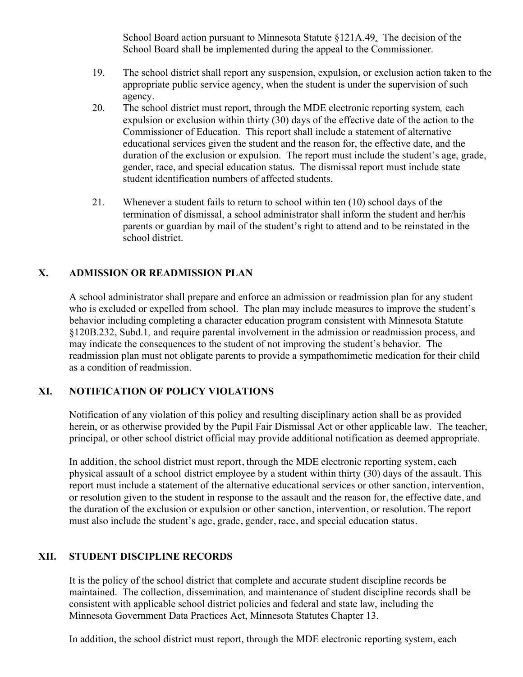School Board action pursuant to Minnesota Statute §121A.49. The decision of the School Board shall be implemented during the appeal to the Commissioner.

- 19. The school district shall report any suspension, expulsion, or exclusion action taken to the appropriate public service agency, when the student is under the supervision of such agency.
- 20. The school district must report, through the MDE electronic reporting system*,* each expulsion or exclusion within thirty (30) days of the effective date of the action to the Commissioner of Education. This report shall include a statement of alternative educational services given the student and the reason for, the effective date, and the duration of the exclusion or expulsion. The report must include the student's age, grade, gender, race, and special education status. The dismissal report must include state student identification numbers of affected students.
- 21. Whenever a student fails to return to school within ten (10) school days of the termination of dismissal, a school administrator shall inform the student and her/his parents or guardian by mail of the student's right to attend and to be reinstated in the school district.

# **X. ADMISSION OR READMISSION PLAN**

A school administrator shall prepare and enforce an admission or readmission plan for any student who is excluded or expelled from school. The plan may include measures to improve the student's behavior including completing a character education program consistent with Minnesota Statute §120B.232, Subd.1*,* and require parental involvement in the admission or readmission process, and may indicate the consequences to the student of not improving the student's behavior. The readmission plan must not obligate parents to provide a sympathomimetic medication for their child as a condition of readmission.

## **XI. NOTIFICATION OF POLICY VIOLATIONS**

Notification of any violation of this policy and resulting disciplinary action shall be as provided herein, or as otherwise provided by the Pupil Fair Dismissal Act or other applicable law. The teacher, principal, or other school district official may provide additional notification as deemed appropriate.

In addition, the school district must report, through the MDE electronic reporting system, each physical assault of a school district employee by a student within thirty (30) days of the assault. This report must include a statement of the alternative educational services or other sanction, intervention, or resolution given to the student in response to the assault and the reason for, the effective date, and the duration of the exclusion or expulsion or other sanction, intervention, or resolution. The report must also include the student's age, grade, gender, race, and special education status.

## **XII. STUDENT DISCIPLINE RECORDS**

It is the policy of the school district that complete and accurate student discipline records be maintained. The collection, dissemination, and maintenance of student discipline records shall be consistent with applicable school district policies and federal and state law, including the Minnesota Government Data Practices Act, Minnesota Statutes Chapter 13.

In addition, the school district must report, through the MDE electronic reporting system, each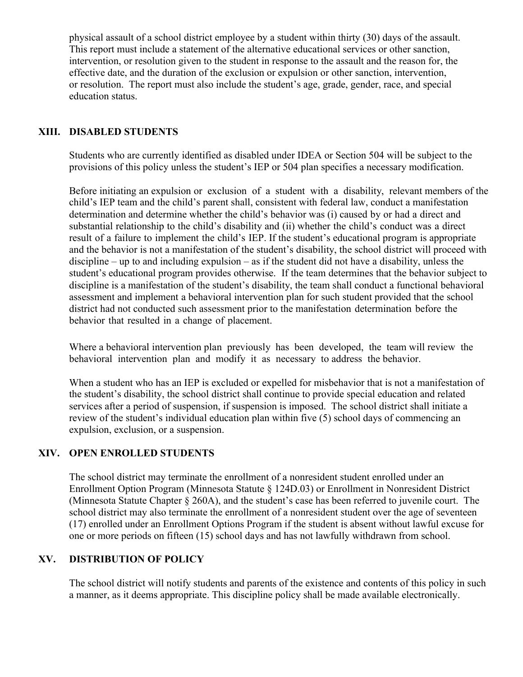physical assault of a school district employee by a student within thirty (30) days of the assault. This report must include a statement of the alternative educational services or other sanction, intervention, or resolution given to the student in response to the assault and the reason for, the effective date, and the duration of the exclusion or expulsion or other sanction, intervention, or resolution. The report must also include the student's age, grade, gender, race, and special education status.

## **XIII. DISABLED STUDENTS**

Students who are currently identified as disabled under IDEA or Section 504 will be subject to the provisions of this policy unless the student's IEP or 504 plan specifies a necessary modification.

Before initiating an expulsion or exclusion of a student with a disability, relevant members of the child's IEP team and the child's parent shall, consistent with federal law, conduct a manifestation determination and determine whether the child's behavior was (i) caused by or had a direct and substantial relationship to the child's disability and (ii) whether the child's conduct was a direct result of a failure to implement the child's IEP. If the student's educational program is appropriate and the behavior is not a manifestation of the student's disability, the school district will proceed with discipline – up to and including expulsion – as if the student did not have a disability, unless the student's educational program provides otherwise. If the team determines that the behavior subject to discipline is a manifestation of the student's disability, the team shall conduct a functional behavioral assessment and implement a behavioral intervention plan for such student provided that the school district had not conducted such assessment prior to the manifestation determination before the behavior that resulted in a change of placement.

Where a behavioral intervention plan previously has been developed, the team will review the behavioral intervention plan and modify it as necessary to address the behavior.

When a student who has an IEP is excluded or expelled for misbehavior that is not a manifestation of the student's disability, the school district shall continue to provide special education and related services after a period of suspension, if suspension is imposed. The school district shall initiate a review of the student's individual education plan within five (5) school days of commencing an expulsion, exclusion, or a suspension.

## **XIV. OPEN ENROLLED STUDENTS**

The school district may terminate the enrollment of a nonresident student enrolled under an Enrollment Option Program (Minnesota Statute § 124D.03) or Enrollment in Nonresident District (Minnesota Statute Chapter § 260A), and the student's case has been referred to juvenile court. The school district may also terminate the enrollment of a nonresident student over the age of seventeen (17) enrolled under an Enrollment Options Program if the student is absent without lawful excuse for one or more periods on fifteen (15) school days and has not lawfully withdrawn from school.

## **XV. DISTRIBUTION OF POLICY**

The school district will notify students and parents of the existence and contents of this policy in such a manner, as it deems appropriate. This discipline policy shall be made available electronically.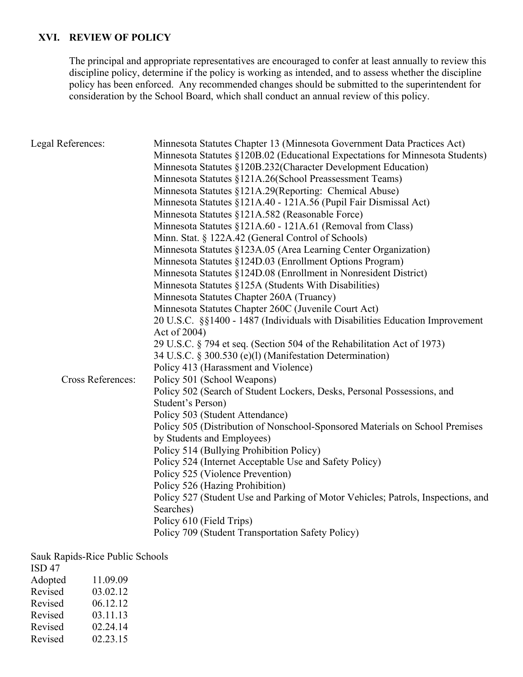## **XVI. REVIEW OF POLICY**

The principal and appropriate representatives are encouraged to confer at least annually to review this discipline policy, determine if the policy is working as intended, and to assess whether the discipline policy has been enforced. Any recommended changes should be submitted to the superintendent for consideration by the School Board, which shall conduct an annual review of this policy.

| Legal References:        | Minnesota Statutes Chapter 13 (Minnesota Government Data Practices Act)<br>Minnesota Statutes §120B.02 (Educational Expectations for Minnesota Students)<br>Minnesota Statutes §120B.232(Character Development Education)<br>Minnesota Statutes §121A.26(School Preassessment Teams)<br>Minnesota Statutes §121A.29(Reporting: Chemical Abuse)<br>Minnesota Statutes §121A.40 - 121A.56 (Pupil Fair Dismissal Act)<br>Minnesota Statutes §121A.582 (Reasonable Force)<br>Minnesota Statutes §121A.60 - 121A.61 (Removal from Class)<br>Minn. Stat. § 122A.42 (General Control of Schools)<br>Minnesota Statutes §123A.05 (Area Learning Center Organization)<br>Minnesota Statutes §124D.03 (Enrollment Options Program)<br>Minnesota Statutes §124D.08 (Enrollment in Nonresident District)<br>Minnesota Statutes §125A (Students With Disabilities)<br>Minnesota Statutes Chapter 260A (Truancy)<br>Minnesota Statutes Chapter 260C (Juvenile Court Act)<br>20 U.S.C. §§1400 - 1487 (Individuals with Disabilities Education Improvement<br>Act of 2004) |
|--------------------------|------------------------------------------------------------------------------------------------------------------------------------------------------------------------------------------------------------------------------------------------------------------------------------------------------------------------------------------------------------------------------------------------------------------------------------------------------------------------------------------------------------------------------------------------------------------------------------------------------------------------------------------------------------------------------------------------------------------------------------------------------------------------------------------------------------------------------------------------------------------------------------------------------------------------------------------------------------------------------------------------------------------------------------------------------------|
|                          | 29 U.S.C. § 794 et seq. (Section 504 of the Rehabilitation Act of 1973)<br>34 U.S.C. § 300.530 (e)(l) (Manifestation Determination)                                                                                                                                                                                                                                                                                                                                                                                                                                                                                                                                                                                                                                                                                                                                                                                                                                                                                                                        |
| <b>Cross References:</b> | Policy 413 (Harassment and Violence)<br>Policy 501 (School Weapons)<br>Policy 502 (Search of Student Lockers, Desks, Personal Possessions, and<br>Student's Person)<br>Policy 503 (Student Attendance)<br>Policy 505 (Distribution of Nonschool-Sponsored Materials on School Premises<br>by Students and Employees)<br>Policy 514 (Bullying Prohibition Policy)<br>Policy 524 (Internet Acceptable Use and Safety Policy)<br>Policy 525 (Violence Prevention)<br>Policy 526 (Hazing Prohibition)<br>Policy 527 (Student Use and Parking of Motor Vehicles; Patrols, Inspections, and<br>Searches)<br>Policy 610 (Field Trips)<br>Policy 709 (Student Transportation Safety Policy)                                                                                                                                                                                                                                                                                                                                                                        |

Sauk Rapids-Rice Public Schools

| ISD <sub>47</sub> |          |
|-------------------|----------|
| Adopted           | 11.09.09 |
| Revised           | 03.02.12 |
| Revised           | 06.12.12 |
| Revised           | 03.11.13 |
| Revised           | 02.24.14 |
| Revised           | 02.23.15 |